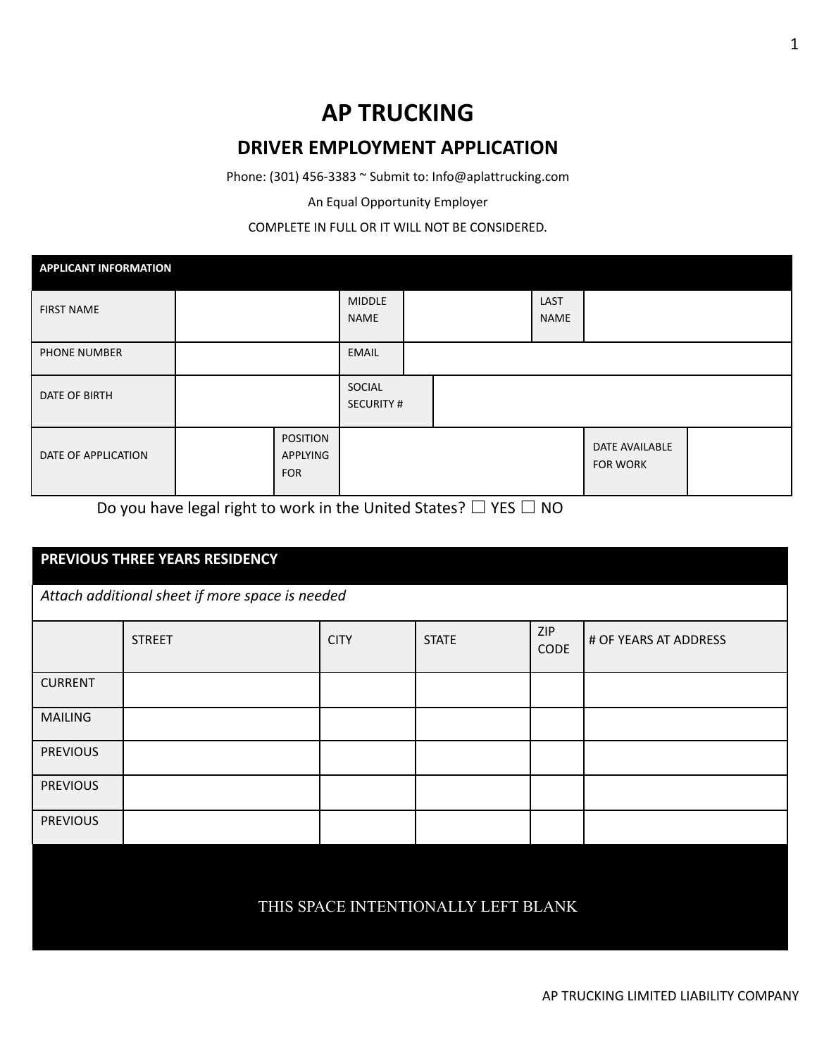## **AP TRUCKING DRIVER EMPLOYMENT APPLICATION**

Phone: (301) 456-3383 ~ Submit to: Info@aplattrucking.com

An Equal Opportunity Employer

## COMPLETE IN FULL OR IT WILL NOT BE CONSIDERED.

| <b>APPLICANT INFORMATION</b> |                                           |                            |  |                     |                                   |  |
|------------------------------|-------------------------------------------|----------------------------|--|---------------------|-----------------------------------|--|
| <b>FIRST NAME</b>            |                                           | <b>MIDDLE</b><br>NAME      |  | <b>LAST</b><br>NAME |                                   |  |
| <b>PHONE NUMBER</b>          |                                           | EMAIL                      |  |                     |                                   |  |
| DATE OF BIRTH                |                                           | SOCIAL<br><b>SECURITY#</b> |  |                     |                                   |  |
| DATE OF APPLICATION          | <b>POSITION</b><br>APPLYING<br><b>FOR</b> |                            |  |                     | DATE AVAILABLE<br><b>FOR WORK</b> |  |

Do you have legal right to work in the United States?  $\Box$  YES  $\Box$  NO

| PREVIOUS THREE YEARS RESIDENCY      |                                                 |             |              |                           |                       |  |  |
|-------------------------------------|-------------------------------------------------|-------------|--------------|---------------------------|-----------------------|--|--|
|                                     | Attach additional sheet if more space is needed |             |              |                           |                       |  |  |
|                                     | <b>STREET</b>                                   | <b>CITY</b> | <b>STATE</b> | <b>ZIP</b><br><b>CODE</b> | # OF YEARS AT ADDRESS |  |  |
| <b>CURRENT</b>                      |                                                 |             |              |                           |                       |  |  |
| <b>MAILING</b>                      |                                                 |             |              |                           |                       |  |  |
| <b>PREVIOUS</b>                     |                                                 |             |              |                           |                       |  |  |
| <b>PREVIOUS</b>                     |                                                 |             |              |                           |                       |  |  |
| <b>PREVIOUS</b>                     |                                                 |             |              |                           |                       |  |  |
|                                     |                                                 |             |              |                           |                       |  |  |
| THIS SPACE INTENTIONALLY LEFT BLANK |                                                 |             |              |                           |                       |  |  |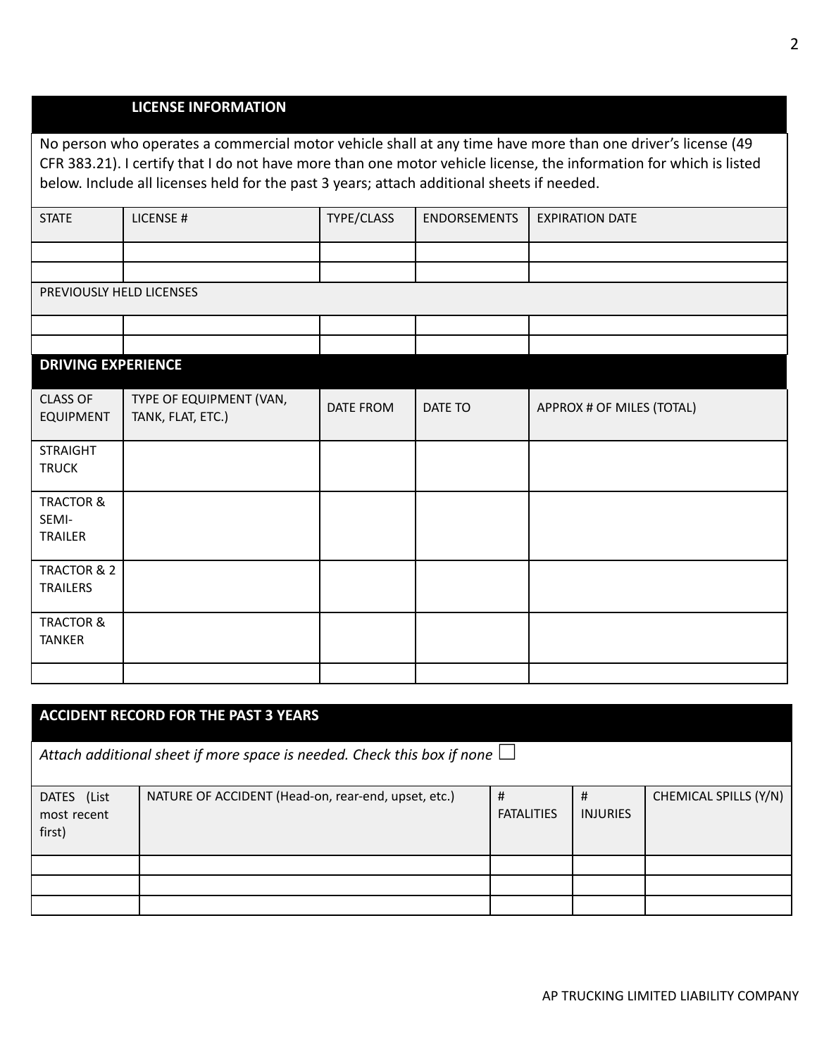## **LICENSE INFORMATION**

No person who operates a commercial motor vehicle shall at any time have more than one driver's license (49 CFR 383.21). I certify that I do not have more than one motor vehicle license, the information for which is listed below. Include all licenses held for the past 3 years; attach additional sheets if needed.

| <b>STATE</b> | LICENSE#                 | TYPE/CLASS | <b>ENDORSEMENTS</b> | <b>EXPIRATION DATE</b> |  |  |  |  |
|--------------|--------------------------|------------|---------------------|------------------------|--|--|--|--|
|              |                          |            |                     |                        |  |  |  |  |
|              |                          |            |                     |                        |  |  |  |  |
|              | PREVIOUSLY HELD LICENSES |            |                     |                        |  |  |  |  |

| <b>DRIVING EXPERIENCE</b>                |                                              |           |         |                           |
|------------------------------------------|----------------------------------------------|-----------|---------|---------------------------|
| <b>CLASS OF</b><br><b>EQUIPMENT</b>      | TYPE OF EQUIPMENT (VAN,<br>TANK, FLAT, ETC.) | DATE FROM | DATE TO | APPROX # OF MILES (TOTAL) |
| <b>STRAIGHT</b><br><b>TRUCK</b>          |                                              |           |         |                           |
| <b>TRACTOR &amp;</b><br>SEMI-<br>TRAILER |                                              |           |         |                           |
| TRACTOR & 2<br><b>TRAILERS</b>           |                                              |           |         |                           |
| <b>TRACTOR &amp;</b><br><b>TANKER</b>    |                                              |           |         |                           |
|                                          |                                              |           |         |                           |

| <b>ACCIDENT RECORD FOR THE PAST 3 YEARS</b>                                    |                                                     |                        |                      |                       |  |  |
|--------------------------------------------------------------------------------|-----------------------------------------------------|------------------------|----------------------|-----------------------|--|--|
| Attach additional sheet if more space is needed. Check this box if none $\Box$ |                                                     |                        |                      |                       |  |  |
| DATES (List<br>most recent<br>first)                                           | NATURE OF ACCIDENT (Head-on, rear-end, upset, etc.) | #<br><b>FATALITIES</b> | #<br><b>INJURIES</b> | CHEMICAL SPILLS (Y/N) |  |  |
|                                                                                |                                                     |                        |                      |                       |  |  |
|                                                                                |                                                     |                        |                      |                       |  |  |
|                                                                                |                                                     |                        |                      |                       |  |  |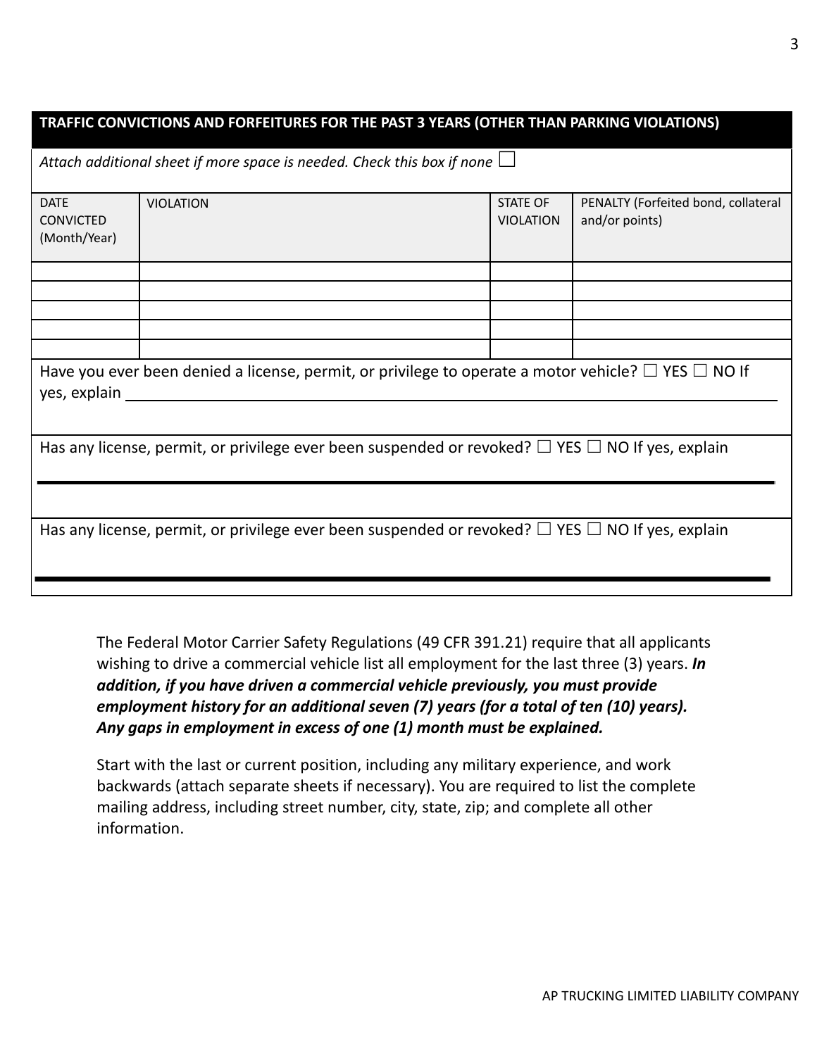| TRAFFIC CONVICTIONS AND FORFEITURES FOR THE PAST 3 YEARS (OTHER THAN PARKING VIOLATIONS)                                      |                                                                                |                                     |                                                       |  |  |
|-------------------------------------------------------------------------------------------------------------------------------|--------------------------------------------------------------------------------|-------------------------------------|-------------------------------------------------------|--|--|
|                                                                                                                               | Attach additional sheet if more space is needed. Check this box if none $\Box$ |                                     |                                                       |  |  |
| <b>DATE</b><br><b>CONVICTED</b><br>(Month/Year)                                                                               | <b>VIOLATION</b>                                                               | <b>STATE OF</b><br><b>VIOLATION</b> | PENALTY (Forfeited bond, collateral<br>and/or points) |  |  |
|                                                                                                                               |                                                                                |                                     |                                                       |  |  |
|                                                                                                                               |                                                                                |                                     |                                                       |  |  |
|                                                                                                                               |                                                                                |                                     |                                                       |  |  |
| Have you ever been denied a license, permit, or privilege to operate a motor vehicle? $\Box$ YES $\Box$ NO If<br>yes, explain |                                                                                |                                     |                                                       |  |  |
| Has any license, permit, or privilege ever been suspended or revoked? $\Box$ YES $\Box$ NO If yes, explain                    |                                                                                |                                     |                                                       |  |  |
|                                                                                                                               |                                                                                |                                     |                                                       |  |  |
| Has any license, permit, or privilege ever been suspended or revoked? $\Box$ YES $\Box$ NO If yes, explain                    |                                                                                |                                     |                                                       |  |  |

The Federal Motor Carrier Safety Regulations (49 CFR 391.21) require that all applicants wishing to drive a commercial vehicle list all employment for the last three (3) years. *In addition, if you have driven a commercial vehicle previously, you must provide employment history for an additional seven (7) years (for a total of ten (10) years). Any gaps in employment in excess of one (1) month must be explained.*

Start with the last or current position, including any military experience, and work backwards (attach separate sheets if necessary). You are required to list the complete mailing address, including street number, city, state, zip; and complete all other information.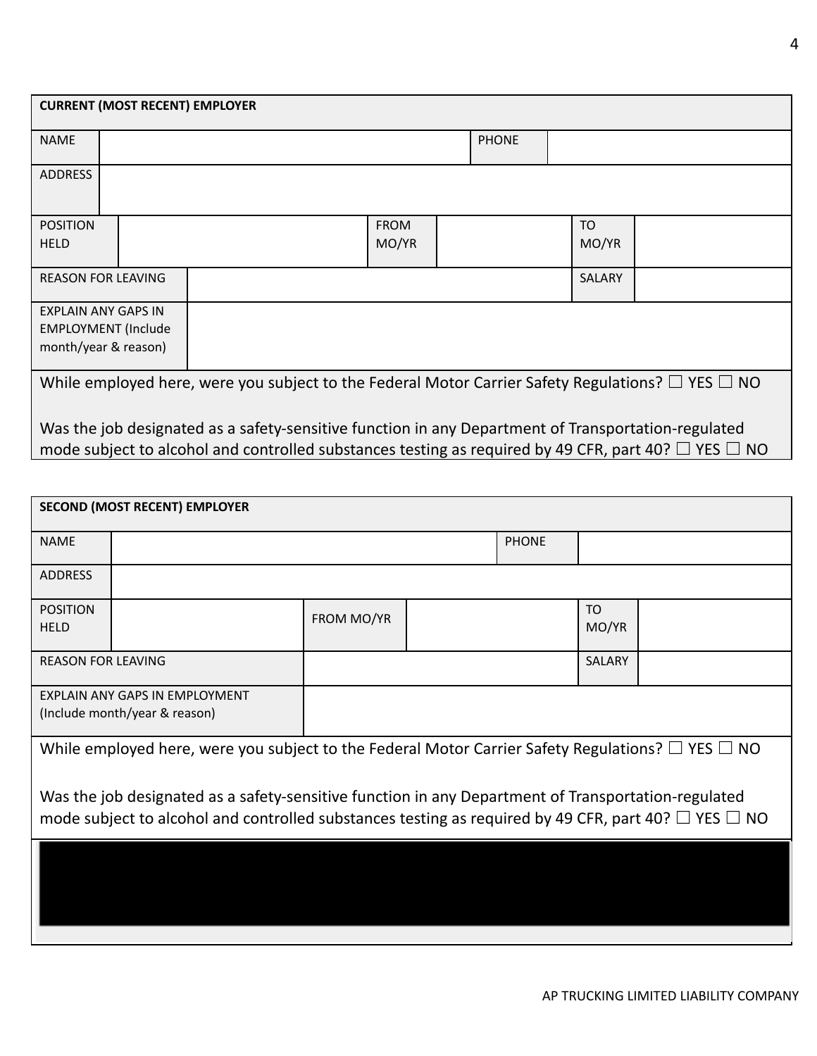| <b>CURRENT (MOST RECENT) EMPLOYER</b>                                                                             |  |                                                                                                                                                                                                                       |                      |  |              |               |  |
|-------------------------------------------------------------------------------------------------------------------|--|-----------------------------------------------------------------------------------------------------------------------------------------------------------------------------------------------------------------------|----------------------|--|--------------|---------------|--|
| <b>NAME</b>                                                                                                       |  |                                                                                                                                                                                                                       |                      |  | <b>PHONE</b> |               |  |
| <b>ADDRESS</b>                                                                                                    |  |                                                                                                                                                                                                                       |                      |  |              |               |  |
| <b>POSITION</b><br><b>HELD</b>                                                                                    |  |                                                                                                                                                                                                                       | <b>FROM</b><br>MO/YR |  |              | TO<br>MO/YR   |  |
| <b>REASON FOR LEAVING</b>                                                                                         |  |                                                                                                                                                                                                                       |                      |  |              | <b>SALARY</b> |  |
| <b>EXPLAIN ANY GAPS IN</b><br><b>EMPLOYMENT</b> (Include<br>month/year & reason)                                  |  |                                                                                                                                                                                                                       |                      |  |              |               |  |
| While employed here, were you subject to the Federal Motor Carrier Safety Regulations? $\square$ YES $\square$ NO |  |                                                                                                                                                                                                                       |                      |  |              |               |  |
|                                                                                                                   |  | Was the job designated as a safety-sensitive function in any Department of Transportation-regulated<br>mode subject to alcohol and controlled substances testing as required by 49 CFR, part 40? $\Box$ YES $\Box$ NO |                      |  |              |               |  |

| <b>SECOND (MOST RECENT) EMPLOYER</b>                                                                                                                                                                                  |                                                                 |            |  |              |             |  |  |
|-----------------------------------------------------------------------------------------------------------------------------------------------------------------------------------------------------------------------|-----------------------------------------------------------------|------------|--|--------------|-------------|--|--|
| <b>NAME</b>                                                                                                                                                                                                           |                                                                 |            |  | <b>PHONE</b> |             |  |  |
| <b>ADDRESS</b>                                                                                                                                                                                                        |                                                                 |            |  |              |             |  |  |
| <b>POSITION</b><br><b>HELD</b>                                                                                                                                                                                        |                                                                 | FROM MO/YR |  |              | TO<br>MO/YR |  |  |
| <b>REASON FOR LEAVING</b>                                                                                                                                                                                             |                                                                 |            |  |              | SALARY      |  |  |
|                                                                                                                                                                                                                       | EXPLAIN ANY GAPS IN EMPLOYMENT<br>(Include month/year & reason) |            |  |              |             |  |  |
| While employed here, were you subject to the Federal Motor Carrier Safety Regulations? $\square$ YES $\square$ NO                                                                                                     |                                                                 |            |  |              |             |  |  |
| Was the job designated as a safety-sensitive function in any Department of Transportation-regulated<br>mode subject to alcohol and controlled substances testing as required by 49 CFR, part 40? $\Box$ YES $\Box$ NO |                                                                 |            |  |              |             |  |  |
|                                                                                                                                                                                                                       |                                                                 |            |  |              |             |  |  |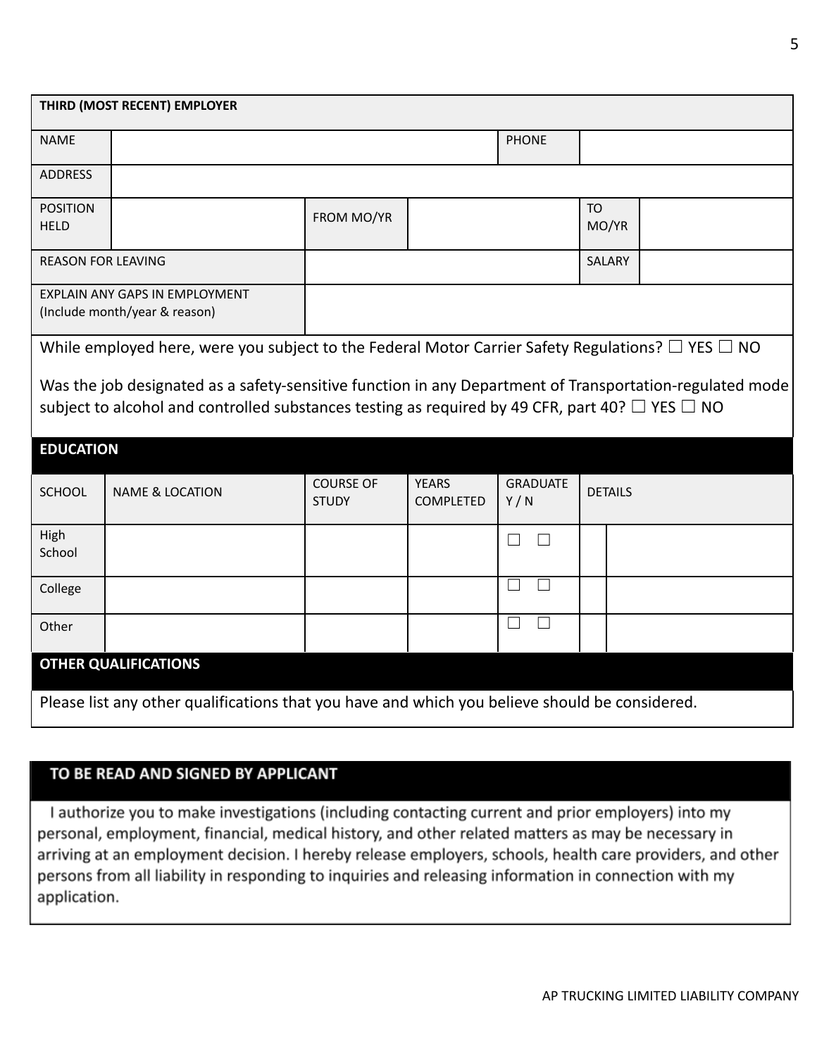| THIRD (MOST RECENT) EMPLOYER                                                                                                                                                                                          |                                                                                                                   |                                  |                                  |                                   |                    |  |  |  |
|-----------------------------------------------------------------------------------------------------------------------------------------------------------------------------------------------------------------------|-------------------------------------------------------------------------------------------------------------------|----------------------------------|----------------------------------|-----------------------------------|--------------------|--|--|--|
| <b>NAME</b>                                                                                                                                                                                                           |                                                                                                                   |                                  |                                  | <b>PHONE</b>                      |                    |  |  |  |
| <b>ADDRESS</b>                                                                                                                                                                                                        |                                                                                                                   |                                  |                                  |                                   |                    |  |  |  |
| <b>POSITION</b><br><b>HELD</b>                                                                                                                                                                                        |                                                                                                                   | FROM MO/YR                       |                                  |                                   | <b>TO</b><br>MO/YR |  |  |  |
| <b>REASON FOR LEAVING</b>                                                                                                                                                                                             |                                                                                                                   |                                  |                                  |                                   | SALARY             |  |  |  |
|                                                                                                                                                                                                                       | <b>EXPLAIN ANY GAPS IN EMPLOYMENT</b><br>(Include month/year & reason)                                            |                                  |                                  |                                   |                    |  |  |  |
|                                                                                                                                                                                                                       | While employed here, were you subject to the Federal Motor Carrier Safety Regulations? $\square$ YES $\square$ NO |                                  |                                  |                                   |                    |  |  |  |
| Was the job designated as a safety-sensitive function in any Department of Transportation-regulated mode<br>subject to alcohol and controlled substances testing as required by 49 CFR, part 40? $\Box$ YES $\Box$ NO |                                                                                                                   |                                  |                                  |                                   |                    |  |  |  |
| <b>EDUCATION</b>                                                                                                                                                                                                      |                                                                                                                   |                                  |                                  |                                   |                    |  |  |  |
| SCHOOL                                                                                                                                                                                                                | <b>NAME &amp; LOCATION</b>                                                                                        | <b>COURSE OF</b><br><b>STUDY</b> | <b>YEARS</b><br><b>COMPLETED</b> | <b>GRADUATE</b><br>Y/N            | <b>DETAILS</b>     |  |  |  |
| High<br>School                                                                                                                                                                                                        |                                                                                                                   |                                  |                                  | $\perp$<br>$\Box$                 |                    |  |  |  |
| College                                                                                                                                                                                                               |                                                                                                                   |                                  |                                  | $\Box$<br>$\Box$                  |                    |  |  |  |
| Other                                                                                                                                                                                                                 |                                                                                                                   |                                  |                                  | $\vert \ \ \vert$<br>$\mathbf{L}$ |                    |  |  |  |
|                                                                                                                                                                                                                       | <b>OTHER QUALIFICATIONS</b>                                                                                       |                                  |                                  |                                   |                    |  |  |  |
|                                                                                                                                                                                                                       | Please list any other qualifications that you have and which you believe should be considered.                    |                                  |                                  |                                   |                    |  |  |  |

## TO BE READ AND SIGNED BY APPLICANT

I authorize you to make investigations (including contacting current and prior employers) into my personal, employment, financial, medical history, and other related matters as may be necessary in arriving at an employment decision. I hereby release employers, schools, health care providers, and other persons from all liability in responding to inquiries and releasing information in connection with my application.